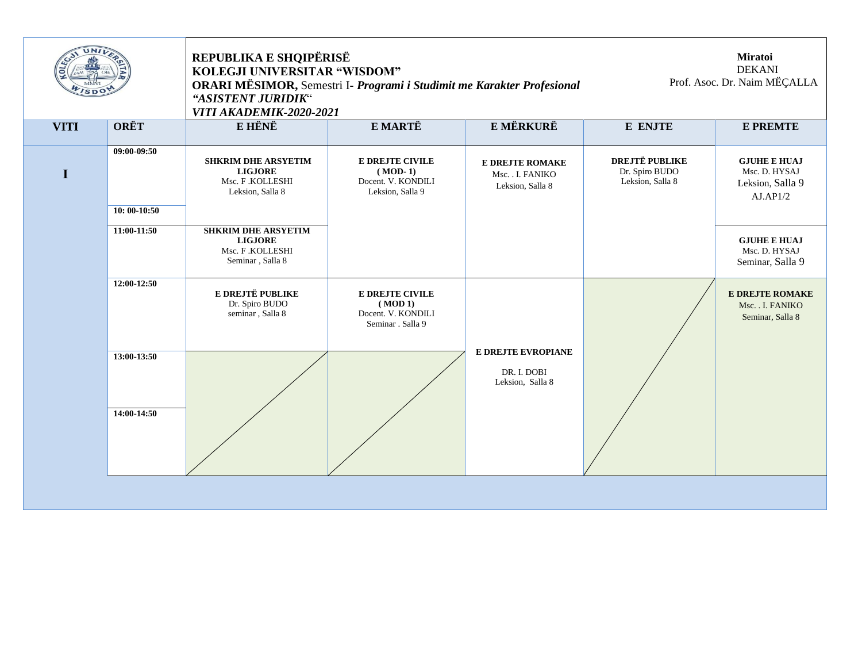| UNI         |                              | REPUBLIKA E SHQIPËRISË<br>KOLEGJI UNIVERSITAR "WISDOM"<br>ORARI MËSIMOR, Semestri I- Programi i Studimit me Karakter Profesional<br>"ASISTENT JURIDIK"<br><b>VITI AKADEMIK-2020-2021</b> |                                                                               | <b>Miratoi</b><br><b>DEKANI</b><br>Prof. Asoc. Dr. Naim MËÇALLA |                                                             |                                                                     |
|-------------|------------------------------|------------------------------------------------------------------------------------------------------------------------------------------------------------------------------------------|-------------------------------------------------------------------------------|-----------------------------------------------------------------|-------------------------------------------------------------|---------------------------------------------------------------------|
| <b>VITI</b> | <b>ORËT</b>                  | <b>E HËNË</b>                                                                                                                                                                            | E MARTË                                                                       | E MËRKURË                                                       | E ENJTE                                                     | <b>E PREMTE</b>                                                     |
| I           | 09:00-09:50<br>$10:00-10:50$ | <b>SHKRIM DHE ARSYETIM</b><br><b>LIGJORE</b><br>Msc. F.KOLLESHI<br>Leksion, Salla 8                                                                                                      | <b>E DREJTE CIVILE</b><br>$(MOD-1)$<br>Docent. V. KONDILI<br>Leksion, Salla 9 | <b>E DREJTE ROMAKE</b><br>Msc. . I. FANIKO<br>Leksion, Salla 8  | <b>DREJTË PUBLIKE</b><br>Dr. Spiro BUDO<br>Leksion, Salla 8 | <b>GJUHE E HUAJ</b><br>Msc. D. HYSAJ<br>Leksion, Salla 9<br>AJAP1/2 |
|             | 11:00-11:50                  | <b>SHKRIM DHE ARSYETIM</b><br><b>LIGJORE</b><br>Msc. F.KOLLESHI<br>Seminar, Salla 8                                                                                                      |                                                                               |                                                                 |                                                             | <b>GJUHE E HUAJ</b><br>Msc. D. HYSAJ<br>Seminar, Salla 9            |
|             | 12:00-12:50                  | E DREJTË PUBLIKE<br>Dr. Spiro BUDO<br>seminar, Salla 8                                                                                                                                   | E DREJTE CIVILE<br>(MOD 1)<br>Docent. V. KONDILI<br>Seminar . Salla 9         |                                                                 |                                                             | <b>E DREJTE ROMAKE</b><br>Msc. . I. FANIKO<br>Seminar, Salla 8      |
|             | 13:00-13:50                  |                                                                                                                                                                                          |                                                                               | <b>E DREJTE EVROPIANE</b><br>DR. I. DOBI<br>Leksion, Salla 8    |                                                             |                                                                     |
|             | 14:00-14:50                  |                                                                                                                                                                                          |                                                                               |                                                                 |                                                             |                                                                     |